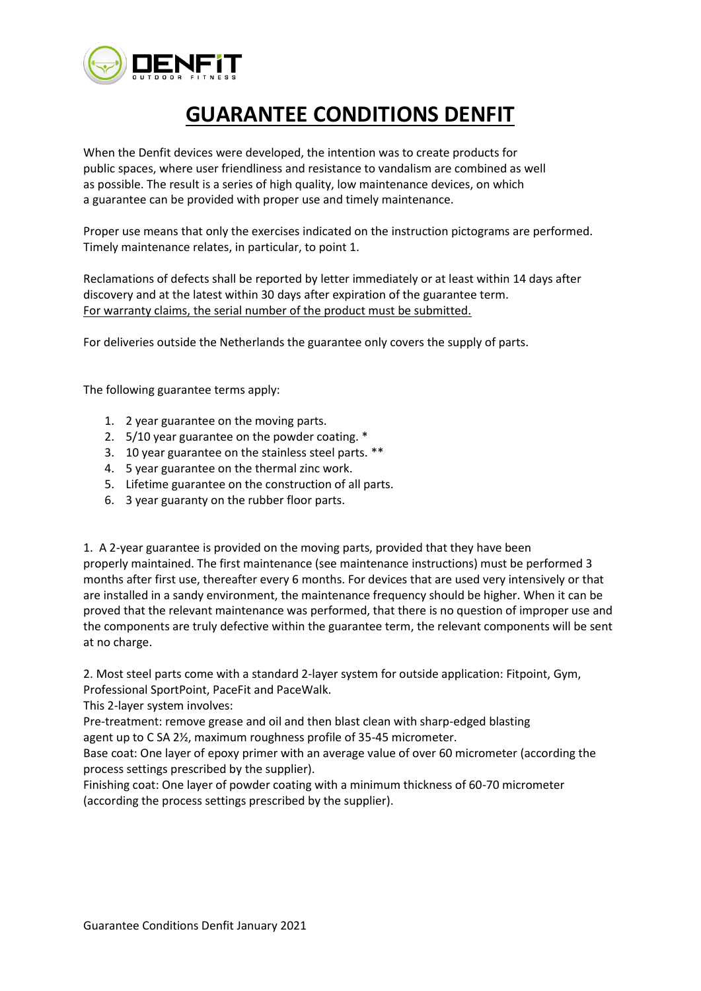

## **GUARANTEE CONDITIONS DENFIT**

When the Denfit devices were developed, the intention was to create products for public spaces, where user friendliness and resistance to vandalism are combined as well as possible. The result is a series of high quality, low maintenance devices, on which a guarantee can be provided with proper use and timely maintenance.

Proper use means that only the exercises indicated on the instruction pictograms are performed. Timely maintenance relates, in particular, to point 1.

Reclamations of defects shall be reported by letter immediately or at least within 14 days after discovery and at the latest within 30 days after expiration of the guarantee term. For warranty claims, the serial number of the product must be submitted.

For deliveries outside the Netherlands the guarantee only covers the supply of parts.

The following guarantee terms apply:

- 1. 2 year guarantee on the moving parts.
- 2. 5/10 year guarantee on the powder coating. \*
- 3. 10 year guarantee on the stainless steel parts. \*\*
- 4. 5 year guarantee on the thermal zinc work.
- 5. Lifetime guarantee on the construction of all parts.
- 6. 3 year guaranty on the rubber floor parts.

1. A 2-year guarantee is provided on the moving parts, provided that they have been properly maintained. The first maintenance (see maintenance instructions) must be performed 3 months after first use, thereafter every 6 months. For devices that are used very intensively or that are installed in a sandy environment, the maintenance frequency should be higher. When it can be proved that the relevant maintenance was performed, that there is no question of improper use and the components are truly defective within the guarantee term, the relevant components will be sent at no charge.

2. Most steel parts come with a standard 2-layer system for outside application: Fitpoint, Gym, Professional SportPoint, PaceFit and PaceWalk.

This 2-layer system involves:

Pre-treatment: remove grease and oil and then blast clean with sharp-edged blasting agent up to C SA 2½, maximum roughness profile of 35-45 micrometer.

Base coat: One layer of epoxy primer with an average value of over 60 micrometer (according the process settings prescribed by the supplier).

Finishing coat: One layer of powder coating with a minimum thickness of 60-70 micrometer (according the process settings prescribed by the supplier).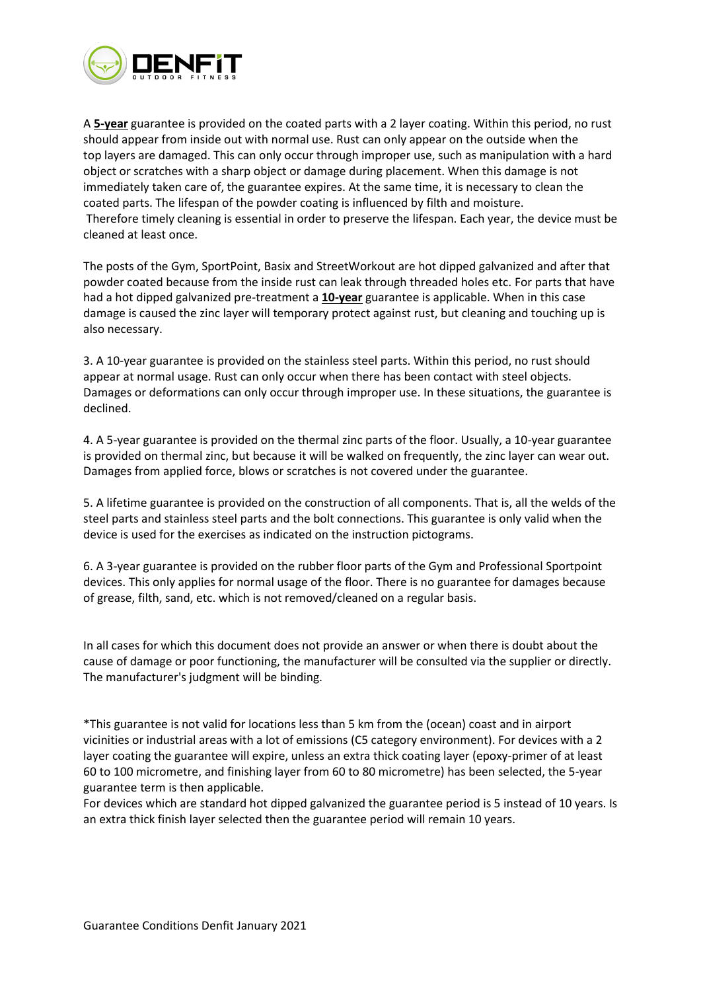

A **5-year** guarantee is provided on the coated parts with a 2 layer coating. Within this period, no rust should appear from inside out with normal use. Rust can only appear on the outside when the top layers are damaged. This can only occur through improper use, such as manipulation with a hard object or scratches with a sharp object or damage during placement. When this damage is not immediately taken care of, the guarantee expires. At the same time, it is necessary to clean the coated parts. The lifespan of the powder coating is influenced by filth and moisture. Therefore timely cleaning is essential in order to preserve the lifespan. Each year, the device must be cleaned at least once.

The posts of the Gym, SportPoint, Basix and StreetWorkout are hot dipped galvanized and after that powder coated because from the inside rust can leak through threaded holes etc. For parts that have had a hot dipped galvanized pre-treatment a **10-year** guarantee is applicable. When in this case damage is caused the zinc layer will temporary protect against rust, but cleaning and touching up is also necessary.

3. A 10-year guarantee is provided on the stainless steel parts. Within this period, no rust should appear at normal usage. Rust can only occur when there has been contact with steel objects. Damages or deformations can only occur through improper use. In these situations, the guarantee is declined.

4. A 5-year guarantee is provided on the thermal zinc parts of the floor. Usually, a 10-year guarantee is provided on thermal zinc, but because it will be walked on frequently, the zinc layer can wear out. Damages from applied force, blows or scratches is not covered under the guarantee.

5. A lifetime guarantee is provided on the construction of all components. That is, all the welds of the steel parts and stainless steel parts and the bolt connections. This guarantee is only valid when the device is used for the exercises as indicated on the instruction pictograms.

6. A 3-year guarantee is provided on the rubber floor parts of the Gym and Professional Sportpoint devices. This only applies for normal usage of the floor. There is no guarantee for damages because of grease, filth, sand, etc. which is not removed/cleaned on a regular basis.

In all cases for which this document does not provide an answer or when there is doubt about the cause of damage or poor functioning, the manufacturer will be consulted via the supplier or directly. The manufacturer's judgment will be binding.

\*This guarantee is not valid for locations less than 5 km from the (ocean) coast and in airport vicinities or industrial areas with a lot of emissions (C5 category environment). For devices with a 2 layer coating the guarantee will expire, unless an extra thick coating layer (epoxy-primer of at least 60 to 100 micrometre, and finishing layer from 60 to 80 micrometre) has been selected, the 5-year guarantee term is then applicable.

For devices which are standard hot dipped galvanized the guarantee period is 5 instead of 10 years. Is an extra thick finish layer selected then the guarantee period will remain 10 years.